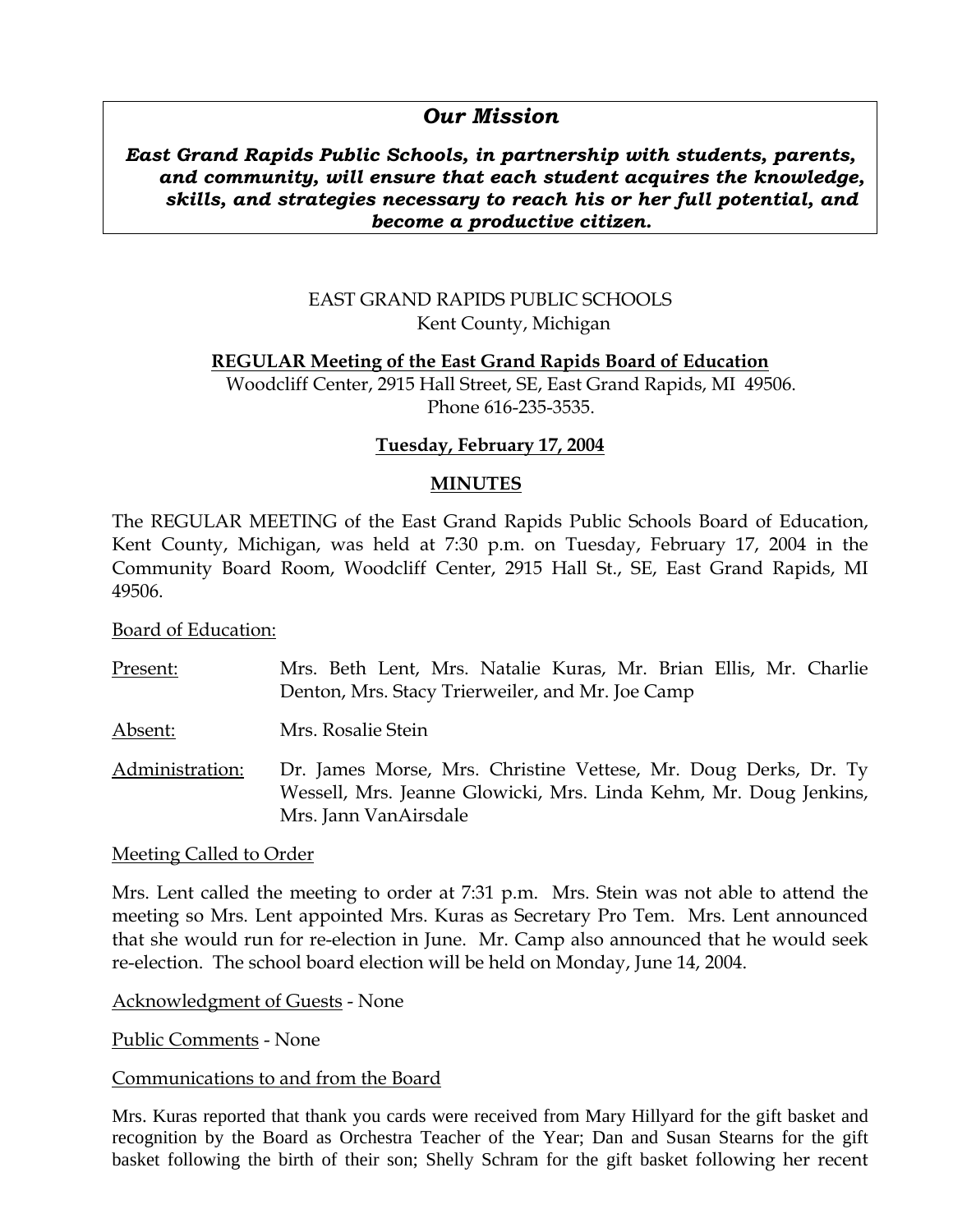# *Our Mission*

### *East Grand Rapids Public Schools, in partnership with students, parents, and community, will ensure that each student acquires the knowledge, skills, and strategies necessary to reach his or her full potential, and become a productive citizen.*

## EAST GRAND RAPIDS PUBLIC SCHOOLS Kent County, Michigan

## **REGULAR Meeting of the East Grand Rapids Board of Education**

Woodcliff Center, 2915 Hall Street, SE, East Grand Rapids, MI 49506. Phone 616-235-3535.

## **Tuesday, February 17, 2004**

#### **MINUTES**

The REGULAR MEETING of the East Grand Rapids Public Schools Board of Education, Kent County, Michigan, was held at 7:30 p.m. on Tuesday, February 17, 2004 in the Community Board Room, Woodcliff Center, 2915 Hall St., SE, East Grand Rapids, MI 49506.

Board of Education:

| Present:        | Mrs. Beth Lent, Mrs. Natalie Kuras, Mr. Brian Ellis, Mr. Charlie<br>Denton, Mrs. Stacy Trierweiler, and Mr. Joe Camp                                          |
|-----------------|---------------------------------------------------------------------------------------------------------------------------------------------------------------|
| Absent:         | Mrs. Rosalie Stein                                                                                                                                            |
| Administration: | Dr. James Morse, Mrs. Christine Vettese, Mr. Doug Derks, Dr. Ty<br>Wessell, Mrs. Jeanne Glowicki, Mrs. Linda Kehm, Mr. Doug Jenkins,<br>Mrs. Jann VanAirsdale |

#### Meeting Called to Order

Mrs. Lent called the meeting to order at 7:31 p.m. Mrs. Stein was not able to attend the meeting so Mrs. Lent appointed Mrs. Kuras as Secretary Pro Tem. Mrs. Lent announced that she would run for re-election in June. Mr. Camp also announced that he would seek re-election. The school board election will be held on Monday, June 14, 2004.

Acknowledgment of Guests - None

Public Comments - None

#### Communications to and from the Board

Mrs. Kuras reported that thank you cards were received from Mary Hillyard for the gift basket and recognition by the Board as Orchestra Teacher of the Year; Dan and Susan Stearns for the gift basket following the birth of their son; Shelly Schram for the gift basket following her recent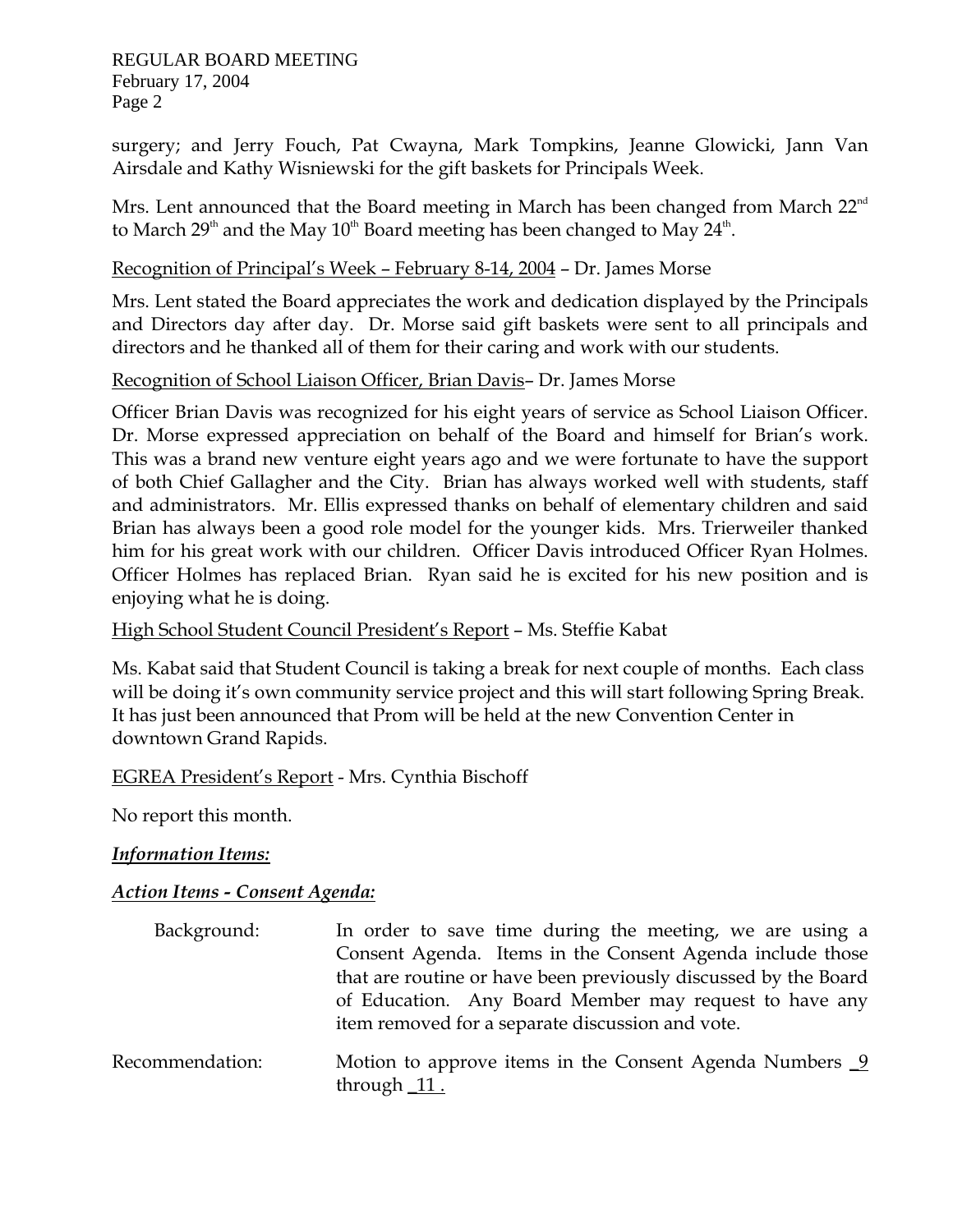REGULAR BOARD MEETING February 17, 2004 Page 2

surgery; and Jerry Fouch, Pat Cwayna, Mark Tompkins, Jeanne Glowicki, Jann Van Airsdale and Kathy Wisniewski for the gift baskets for Principals Week.

Mrs. Lent announced that the Board meeting in March has been changed from March  $22^{nd}$ to March 29<sup>th</sup> and the May 10<sup>th</sup> Board meeting has been changed to May 24<sup>th</sup>.

### Recognition of Principal's Week – February 8-14, 2004 – Dr. James Morse

Mrs. Lent stated the Board appreciates the work and dedication displayed by the Principals and Directors day after day. Dr. Morse said gift baskets were sent to all principals and directors and he thanked all of them for their caring and work with our students.

### Recognition of School Liaison Officer, Brian Davis– Dr. James Morse

Officer Brian Davis was recognized for his eight years of service as School Liaison Officer. Dr. Morse expressed appreciation on behalf of the Board and himself for Brian's work. This was a brand new venture eight years ago and we were fortunate to have the support of both Chief Gallagher and the City. Brian has always worked well with students, staff and administrators. Mr. Ellis expressed thanks on behalf of elementary children and said Brian has always been a good role model for the younger kids. Mrs. Trierweiler thanked him for his great work with our children. Officer Davis introduced Officer Ryan Holmes. Officer Holmes has replaced Brian. Ryan said he is excited for his new position and is enjoying what he is doing.

## High School Student Council President's Report – Ms. Steffie Kabat

Ms. Kabat said that Student Council is taking a break for next couple of months. Each class will be doing it's own community service project and this will start following Spring Break. It has just been announced that Prom will be held at the new Convention Center in downtown Grand Rapids.

## EGREA President's Report - Mrs. Cynthia Bischoff

No report this month.

## *Information Items:*

## *Action Items - Consent Agenda:*

| Background:     | In order to save time during the meeting, we are using a<br>Consent Agenda. Items in the Consent Agenda include those<br>that are routine or have been previously discussed by the Board<br>of Education. Any Board Member may request to have any<br>item removed for a separate discussion and vote. |
|-----------------|--------------------------------------------------------------------------------------------------------------------------------------------------------------------------------------------------------------------------------------------------------------------------------------------------------|
| Recommendation: | Motion to approve items in the Consent Agenda Numbers $9$<br>through $11$ .                                                                                                                                                                                                                            |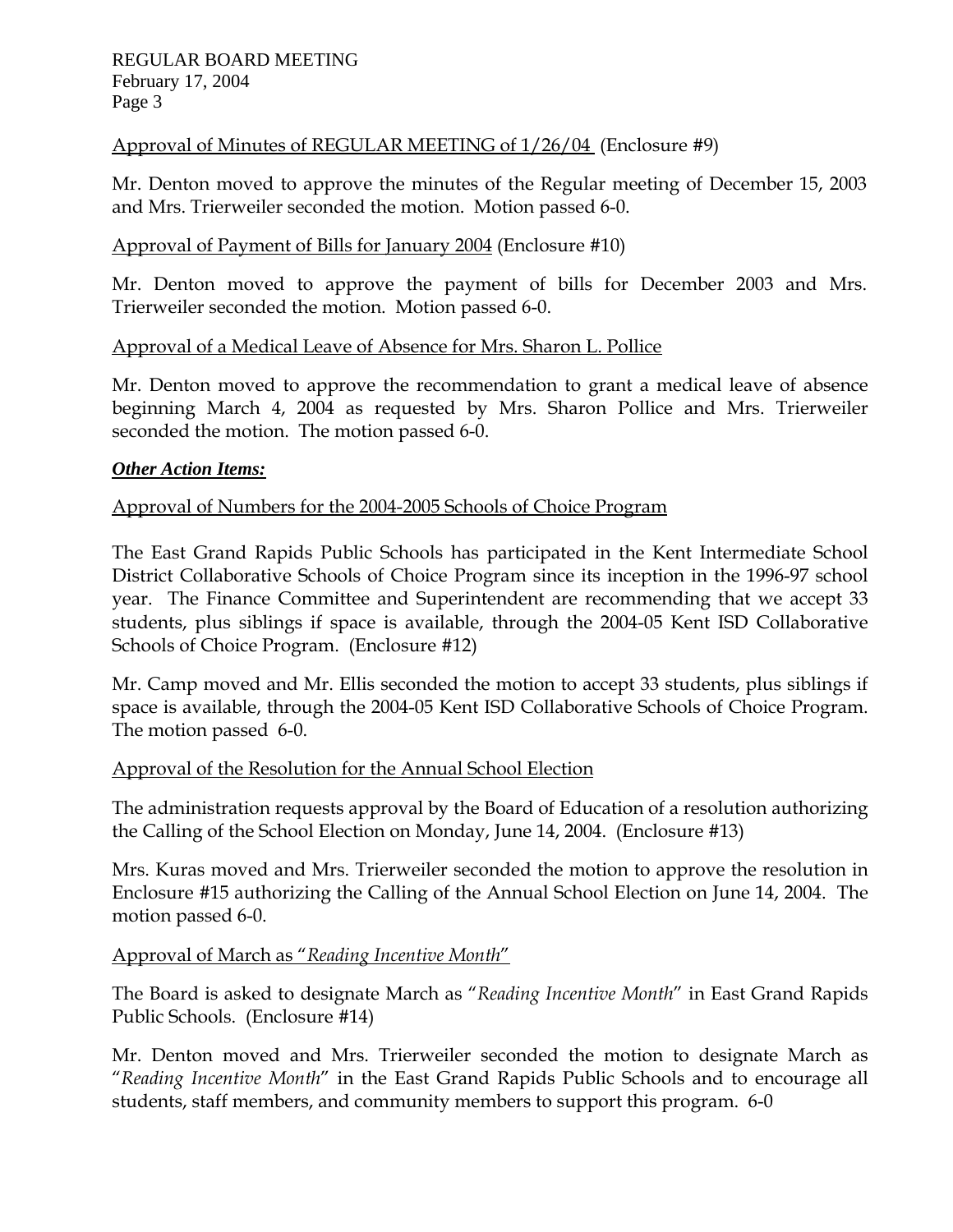## Approval of Minutes of REGULAR MEETING of 1/26/04 (Enclosure #9)

Mr. Denton moved to approve the minutes of the Regular meeting of December 15, 2003 and Mrs. Trierweiler seconded the motion. Motion passed 6-0.

## Approval of Payment of Bills for January 2004 (Enclosure #10)

Mr. Denton moved to approve the payment of bills for December 2003 and Mrs. Trierweiler seconded the motion. Motion passed 6-0.

## Approval of a Medical Leave of Absence for Mrs. Sharon L. Pollice

Mr. Denton moved to approve the recommendation to grant a medical leave of absence beginning March 4, 2004 as requested by Mrs. Sharon Pollice and Mrs. Trierweiler seconded the motion. The motion passed 6-0.

## *Other Action Items:*

## Approval of Numbers for the 2004-2005 Schools of Choice Program

The East Grand Rapids Public Schools has participated in the Kent Intermediate School District Collaborative Schools of Choice Program since its inception in the 1996-97 school year. The Finance Committee and Superintendent are recommending that we accept 33 students, plus siblings if space is available, through the 2004-05 Kent ISD Collaborative Schools of Choice Program. (Enclosure #12)

Mr. Camp moved and Mr. Ellis seconded the motion to accept 33 students, plus siblings if space is available, through the 2004-05 Kent ISD Collaborative Schools of Choice Program. The motion passed 6-0.

## Approval of the Resolution for the Annual School Election

The administration requests approval by the Board of Education of a resolution authorizing the Calling of the School Election on Monday, June 14, 2004. (Enclosure #13)

Mrs. Kuras moved and Mrs. Trierweiler seconded the motion to approve the resolution in Enclosure #15 authorizing the Calling of the Annual School Election on June 14, 2004. The motion passed 6-0.

## Approval of March as "*Reading Incentive Month*"

The Board is asked to designate March as "*Reading Incentive Month*" in East Grand Rapids Public Schools. (Enclosure #14)

Mr. Denton moved and Mrs. Trierweiler seconded the motion to designate March as "*Reading Incentive Month*" in the East Grand Rapids Public Schools and to encourage all students, staff members, and community members to support this program. 6-0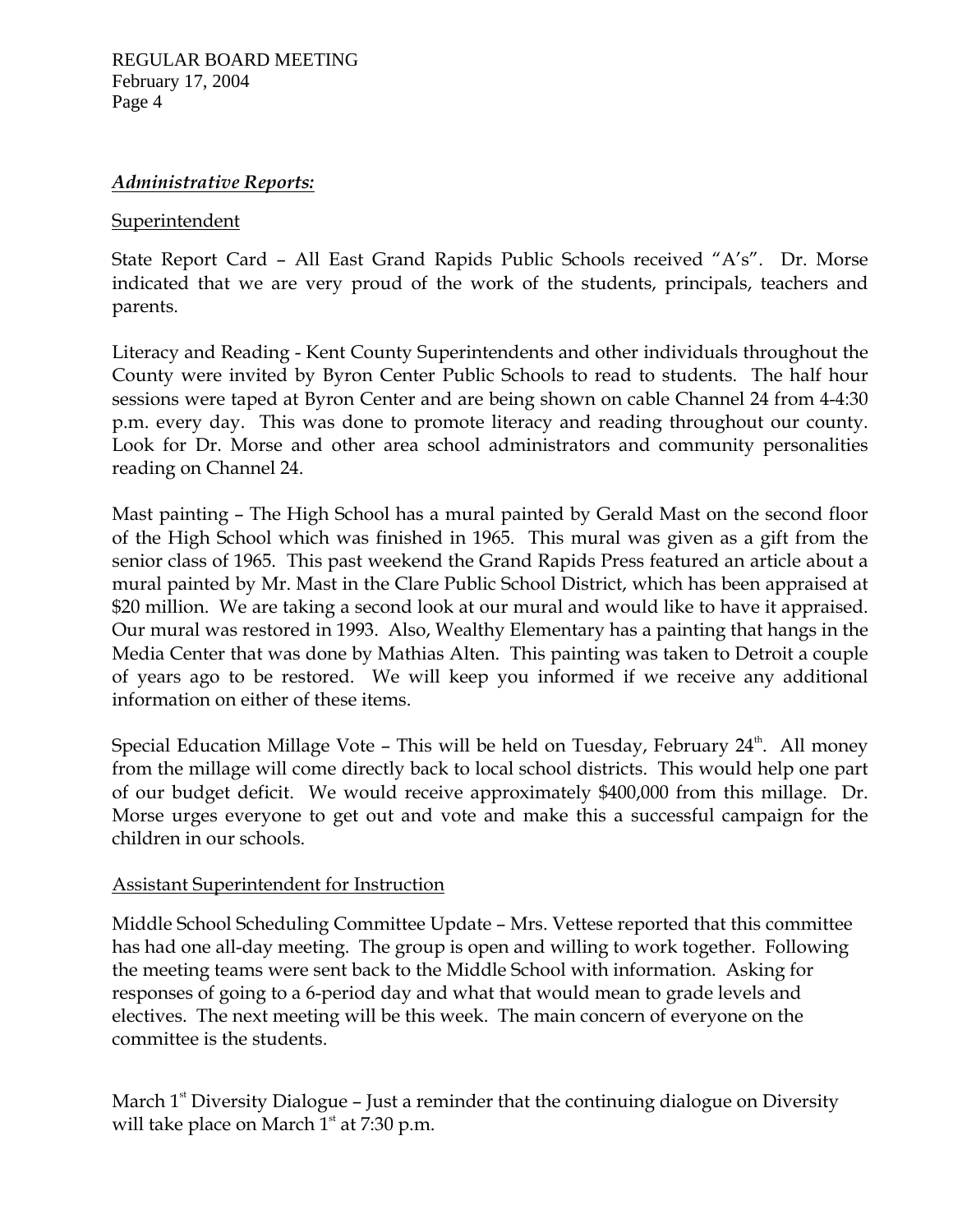## *Administrative Reports:*

## **Superintendent**

State Report Card – All East Grand Rapids Public Schools received "A's". Dr. Morse indicated that we are very proud of the work of the students, principals, teachers and parents.

Literacy and Reading - Kent County Superintendents and other individuals throughout the County were invited by Byron Center Public Schools to read to students. The half hour sessions were taped at Byron Center and are being shown on cable Channel 24 from 4-4:30 p.m. every day. This was done to promote literacy and reading throughout our county. Look for Dr. Morse and other area school administrators and community personalities reading on Channel 24.

Mast painting – The High School has a mural painted by Gerald Mast on the second floor of the High School which was finished in 1965. This mural was given as a gift from the senior class of 1965. This past weekend the Grand Rapids Press featured an article about a mural painted by Mr. Mast in the Clare Public School District, which has been appraised at \$20 million. We are taking a second look at our mural and would like to have it appraised. Our mural was restored in 1993. Also, Wealthy Elementary has a painting that hangs in the Media Center that was done by Mathias Alten. This painting was taken to Detroit a couple of years ago to be restored. We will keep you informed if we receive any additional information on either of these items.

Special Education Millage Vote – This will be held on Tuesday, February  $24^{\text{th}}$ . All money from the millage will come directly back to local school districts. This would help one part of our budget deficit. We would receive approximately \$400,000 from this millage. Dr. Morse urges everyone to get out and vote and make this a successful campaign for the children in our schools.

## Assistant Superintendent for Instruction

Middle School Scheduling Committee Update – Mrs. Vettese reported that this committee has had one all-day meeting. The group is open and willing to work together. Following the meeting teams were sent back to the Middle School with information. Asking for responses of going to a 6-period day and what that would mean to grade levels and electives. The next meeting will be this week. The main concern of everyone on the committee is the students.

March  $1^{\text{st}}$  Diversity Dialogue – Just a reminder that the continuing dialogue on Diversity will take place on March  $1<sup>st</sup>$  at 7:30 p.m.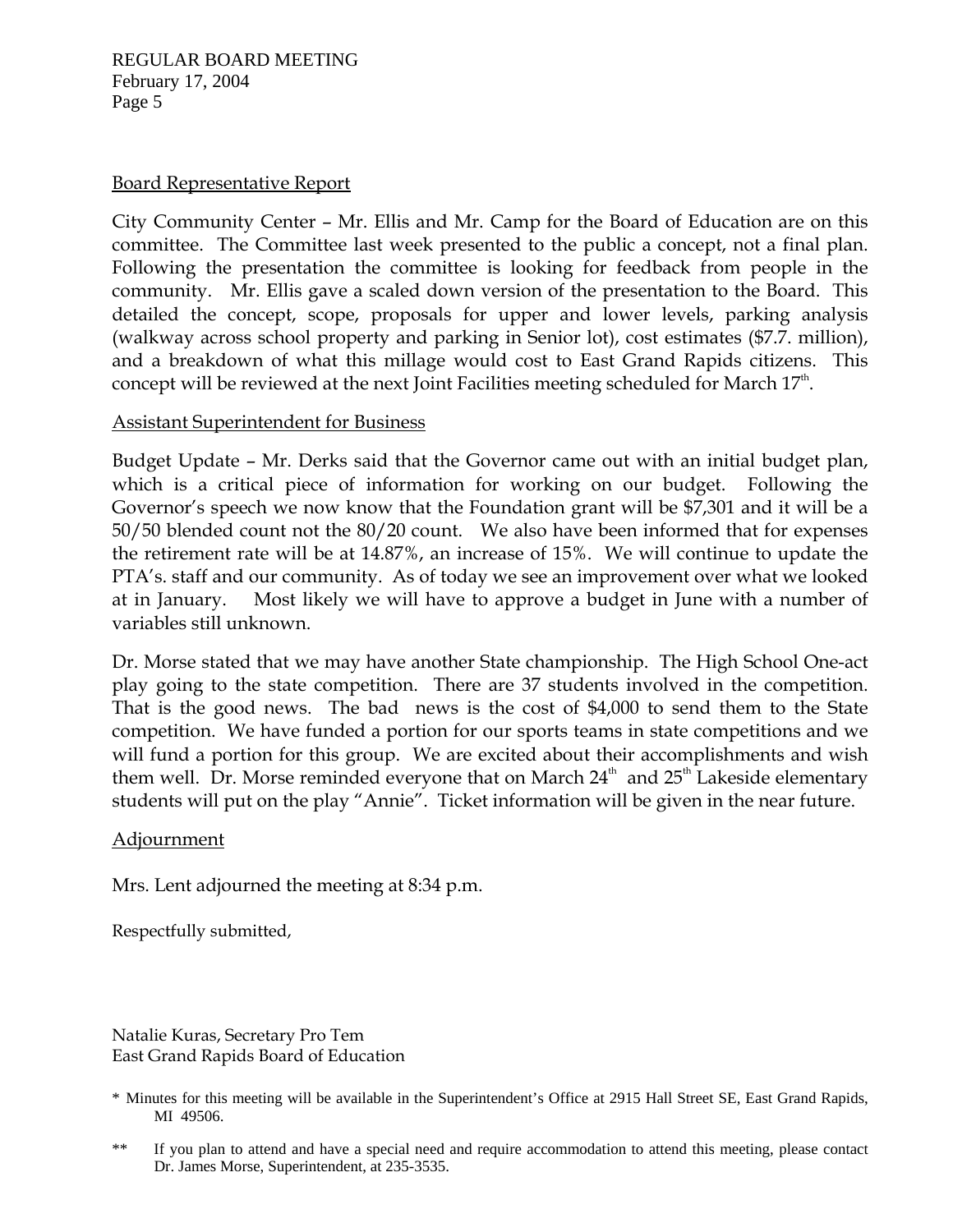REGULAR BOARD MEETING February 17, 2004 Page 5

#### Board Representative Report

City Community Center – Mr. Ellis and Mr. Camp for the Board of Education are on this committee. The Committee last week presented to the public a concept, not a final plan. Following the presentation the committee is looking for feedback from people in the community. Mr. Ellis gave a scaled down version of the presentation to the Board. This detailed the concept, scope, proposals for upper and lower levels, parking analysis (walkway across school property and parking in Senior lot), cost estimates (\$7.7. million), and a breakdown of what this millage would cost to East Grand Rapids citizens. This concept will be reviewed at the next Joint Facilities meeting scheduled for March  $17<sup>th</sup>$ .

### Assistant Superintendent for Business

Budget Update – Mr. Derks said that the Governor came out with an initial budget plan, which is a critical piece of information for working on our budget. Following the Governor's speech we now know that the Foundation grant will be \$7,301 and it will be a 50/50 blended count not the 80/20 count. We also have been informed that for expenses the retirement rate will be at 14.87%, an increase of 15%. We will continue to update the PTA's. staff and our community. As of today we see an improvement over what we looked at in January. Most likely we will have to approve a budget in June with a number of variables still unknown.

Dr. Morse stated that we may have another State championship. The High School One-act play going to the state competition. There are 37 students involved in the competition. That is the good news. The bad news is the cost of \$4,000 to send them to the State competition. We have funded a portion for our sports teams in state competitions and we will fund a portion for this group. We are excited about their accomplishments and wish them well. Dr. Morse reminded everyone that on March  $24<sup>th</sup>$  and  $25<sup>th</sup>$  Lakeside elementary students will put on the play "Annie". Ticket information will be given in the near future.

#### **Adjournment**

Mrs. Lent adjourned the meeting at 8:34 p.m.

Respectfully submitted,

Natalie Kuras, Secretary Pro Tem East Grand Rapids Board of Education

<sup>\*</sup> Minutes for this meeting will be available in the Superintendent's Office at 2915 Hall Street SE, East Grand Rapids, MI 49506.

<sup>\*\*</sup> If you plan to attend and have a special need and require accommodation to attend this meeting, please contact Dr. James Morse, Superintendent, at 235-3535.